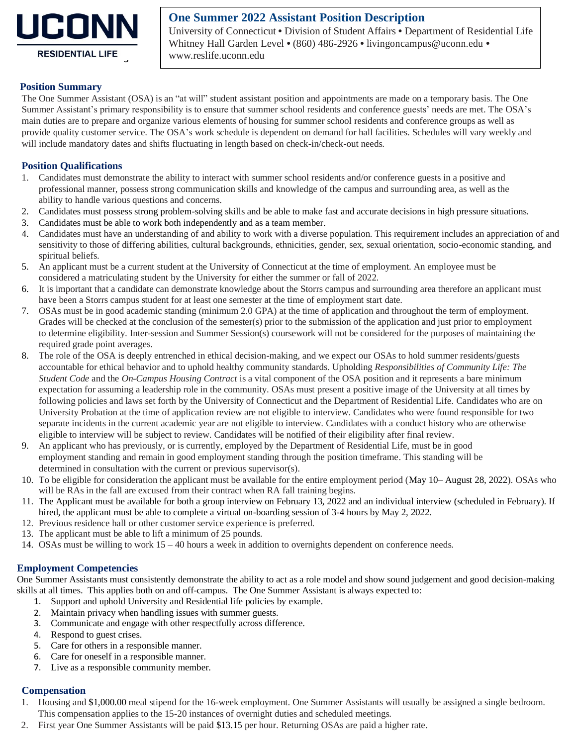

# **One Summer 2022 Assistant Position Description**

University of Connecticut • Division of Student Affairs • Department of Residential Life Whitney Hall Garden Level • (860) 486-2926 • [livingoncampus@uconn.edu](http://reslife.uconn.edu/contact_us.html) • [www.reslife.uconn.edu](http://reslife.uconn.edu/index.php)

## 5 **Position Summary**

The One Summer Assistant (OSA) is an "at will" student assistant position and appointments are made on a temporary basis. The One 7 Summer Assistant's primary responsibility is to ensure that summer school residents and conference guests' needs are met. The OSA's main duties are to prepare and organize various elements of housing for summer school residents and conference groups as well as 9 provide quality customer service. The OSA's work schedule is dependent on demand for hall facilities. Schedules will vary weekly and will include mandatory dates and shifts fluctuating in length based on check-in/check-out needs.

## **Position Qualifications**

- Candidates must demonstrate the ability to interact with summer school residents and/or conference guests in a positive and 14 professional manner, possess strong communication skills and knowledge of the campus and surrounding area, as well as the ability to handle various questions and concerns.
- 16 2. Candidates must possess strong problem-solving skills and be able to make fast and accurate decisions in high pressure situations.
- 17 3. Candidates must be able to work both independently and as a team member.
- 18 4. Candidates must have an understanding of and ability to work with a diverse population. This requirement includes an appreciation of and 19 sensitivity to those of differing abilities, cultural backgrounds, ethnicities, gender, sex, sexual orientation, socio-economic standing, and spiritual beliefs.
- 21 5. An applicant must be a current student at the University of Connecticut at the time of employment. An employee must be 22 considered a matriculating student by the University for either the summer or fall of 2022.
- 23 6. It is important that a candidate can demonstrate knowledge about the Storrs campus and surrounding area therefore an applicant must have been a Storrs campus student for at least one semester at the time of employment start date.
- 25 7. OSAs must be in good academic standing (minimum 2.0 GPA) at the time of application and throughout the term of employment. 26 Grades will be checked at the conclusion of the semester(s) prior to the submission of the application and just prior to employment 27 to determine eligibility. Inter-session and Summer Session(s) coursework will not be considered for the purposes of maintaining the required grade point averages.
- 29 8. The role of the OSA is deeply entrenched in ethical decision-making, and we expect our OSAs to hold summer residents/guests 30 accountable for ethical behavior and to uphold healthy community standards. Upholding *Responsibilities of Community Life: The*  31 *Student Code* and the *On-Campus Housing Contract* is a vital component of the OSA position and it represents a bare minimum expectation for assuming a leadership role in the community. OSAs must present a positive image of the University at all times by 33 following policies and laws set forth by the University of Connecticut and the Department of Residential Life. Candidates who are on 34 University Probation at the time of application review are not eligible to interview. Candidates who were found responsible for two separate incidents in the current academic year are not eligible to interview. Candidates with a conduct history who are otherwise 36 eligible to interview will be subject to review. Candidates will be notified of their eligibility after final review.
- 37 9. An applicant who has previously, or is currently, employed by the Department of Residential Life, must be in good 38 employment standing and remain in good employment standing through the position timeframe. This standing will be determined in consultation with the current or previous supervisor(s).
- 40 10. To be eligible for consideration the applicant must be available for the entire employment period (May 10– August 28, 2022). OSAs who will be RAs in the fall are excused from their contract when RA fall training begins.
- 42 11. The Applicant must be available for both a group interview on February 13, 2022 and an individual interview (scheduled in February). If hired, the applicant must be able to complete a virtual on-boarding session of 3-4 hours by May 2, 2022.
- 12. Previous residence hall or other customer service experience is preferred.
- 13. The applicant must be able to lift a minimum of 25 pounds.
- 46 14. OSAs must be willing to work 15 40 hours a week in addition to overnights dependent on conference needs.

## 48 **Employment Competencies**

49 One Summer Assistants must consistently demonstrate the ability to act as a role model and show sound judgement and good decision-making skills at all times. This applies both on and off-campus. The One Summer Assistant is always expected to:

- 1. Support and uphold University and Residential life policies by example.
- 2. Maintain privacy when handling issues with summer guests.
- 53 3. Communicate and engage with other respectfully across difference.
- 4. Respond to guest crises.
- 5. Care for others in a responsible manner.
- 56 6. Care for oneself in a responsible manner.
- 57 7. Live as a responsible community member.

## 59 **Compensation**

- 1. Housing and \$1,000.00 meal stipend for the 16-week employment. One Summer Assistants will usually be assigned a single bedroom. This compensation applies to the 15-20 instances of overnight duties and scheduled meetings.
- 62 2. First year One Summer Assistants will be paid \$13.15 per hour. Returning OSAs are paid a higher rate.